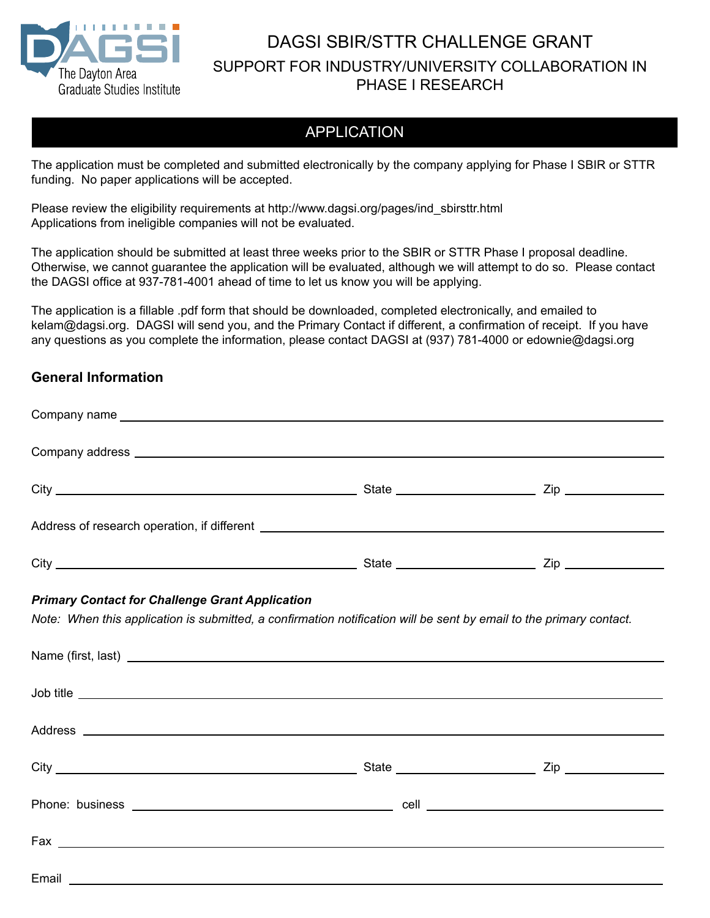

## DAGSI SBIR/STTR CHALLENGE GRANT SUPPORT FOR INDUSTRY/UNIVERSITY COLLABORATION IN PHASE I RESEARCH

## APPLICATION

The application must be completed and submitted electronically by the company applying for Phase I SBIR or STTR funding. No paper applications will be accepted.

Please review the eligibility requirements at http://www.dagsi.org/pages/ind\_sbirsttr.html Applications from ineligible companies will not be evaluated.

The application should be submitted at least three weeks prior to the SBIR or STTR Phase I proposal deadline. Otherwise, we cannot guarantee the application will be evaluated, although we will attempt to do so. Please contact the DAGSI office at 937-781-4001 ahead of time to let us know you will be applying.

The application is a fillable .pdf form that should be downloaded, completed electronically, and emailed to kelam@dagsi.org. DAGSI will send you, and the Primary Contact if different, a confirmation of receipt. If you have any questions as you complete the information, please contact DAGSI at (937) 781-4000 or edownie@dagsi.org

### **General Information**

| <b>Primary Contact for Challenge Grant Application</b> | Note: When this application is submitted, a confirmation notification will be sent by email to the primary contact.                                                                                                                  |  |
|--------------------------------------------------------|--------------------------------------------------------------------------------------------------------------------------------------------------------------------------------------------------------------------------------------|--|
|                                                        | Job title <b>contract the contract of the contract of the contract of the contract of the contract of the contract of the contract of the contract of the contract of the contract of the contract of the contract of the contra</b> |  |
|                                                        |                                                                                                                                                                                                                                      |  |
|                                                        |                                                                                                                                                                                                                                      |  |
|                                                        |                                                                                                                                                                                                                                      |  |
|                                                        |                                                                                                                                                                                                                                      |  |
|                                                        |                                                                                                                                                                                                                                      |  |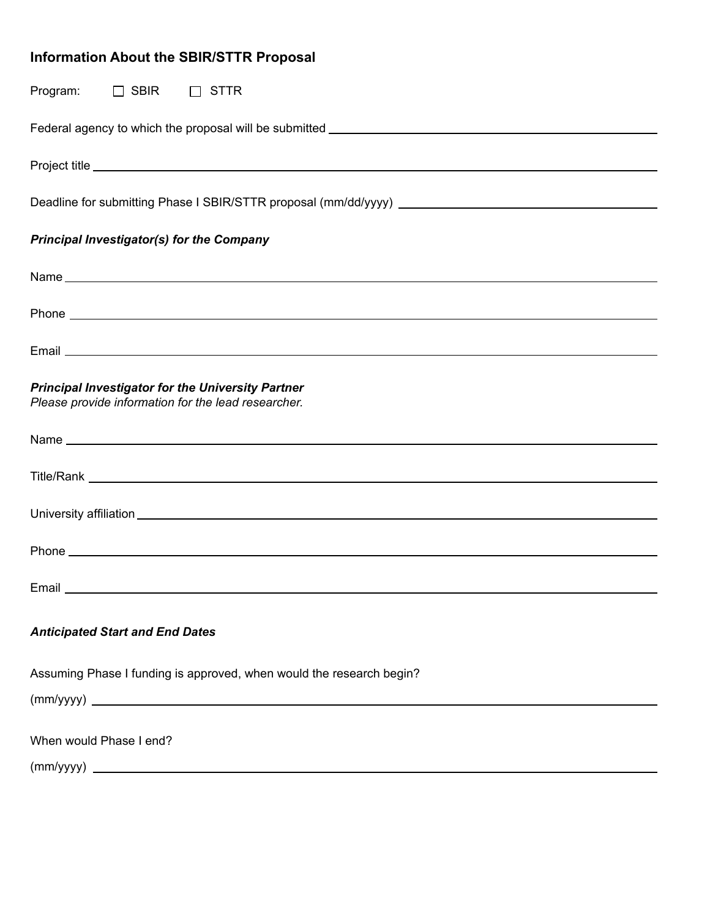# **Information About the SBIR/STTR Proposal**

| Program:<br>$\Box$ SBIR<br>$\Box$ STTR                                                                                                                                                                                               |
|--------------------------------------------------------------------------------------------------------------------------------------------------------------------------------------------------------------------------------------|
|                                                                                                                                                                                                                                      |
|                                                                                                                                                                                                                                      |
|                                                                                                                                                                                                                                      |
| <b>Principal Investigator(s) for the Company</b>                                                                                                                                                                                     |
|                                                                                                                                                                                                                                      |
|                                                                                                                                                                                                                                      |
|                                                                                                                                                                                                                                      |
| <b>Principal Investigator for the University Partner</b><br>Please provide information for the lead researcher.                                                                                                                      |
|                                                                                                                                                                                                                                      |
|                                                                                                                                                                                                                                      |
|                                                                                                                                                                                                                                      |
|                                                                                                                                                                                                                                      |
| Email <b>Executive Contract Contract Contract Contract Contract Contract Contract Contract Contract Contract Contract Contract Contract Contract Contract Contract Contract Contract Contract Contract Contract Contract Contrac</b> |
| <b>Anticipated Start and End Dates</b>                                                                                                                                                                                               |
| Assuming Phase I funding is approved, when would the research begin?                                                                                                                                                                 |
|                                                                                                                                                                                                                                      |
| When would Phase I end?                                                                                                                                                                                                              |
|                                                                                                                                                                                                                                      |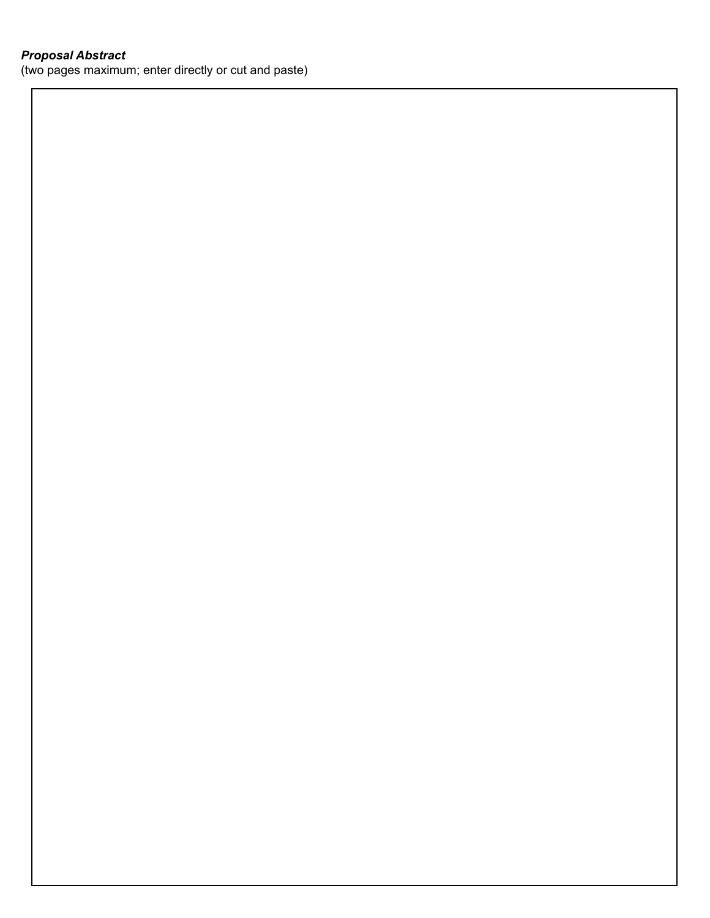### *Proposal Abstract*

(two pages maximum; enter directly or cut and paste)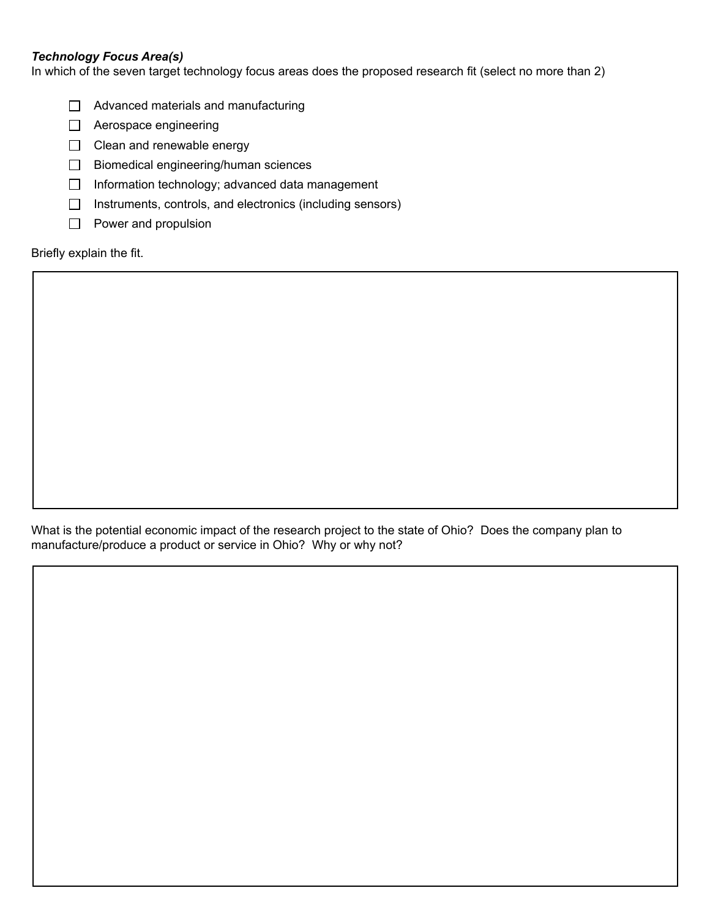### *Technology Focus Area(s)*

In which of the seven target technology focus areas does the proposed research fit (select no more than 2)

- $\Box$  Advanced materials and manufacturing
- □ Aerospace engineering
- $\Box$  Clean and renewable energy
- $\Box$  Biomedical engineering/human sciences
- $\Box$  Information technology; advanced data management
- $\Box$  Instruments, controls, and electronics (including sensors)
- $\Box$  Power and propulsion

Briefly explain the fit.

What is the potential economic impact of the research project to the state of Ohio? Does the company plan to manufacture/produce a product or service in Ohio? Why or why not?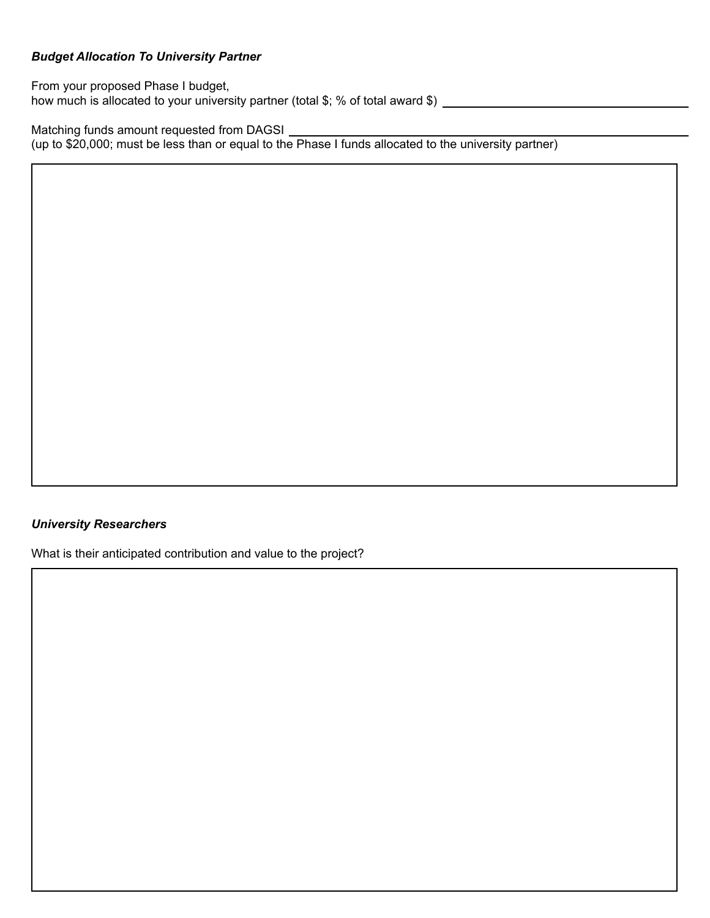### *Budget Allocation To University Partner*

From your proposed Phase I budget, how much is allocated to your university partner (total \$; % of total award \$) \_\_\_\_\_\_\_\_\_\_\_\_\_\_\_\_\_\_\_\_\_\_\_\_\_\_\_\_\_\_\_

Matching funds amount requested from DAGSI (up to \$20,000; must be less than or equal to the Phase I funds allocated to the university partner)

### *University Researchers*

What is their anticipated contribution and value to the project?